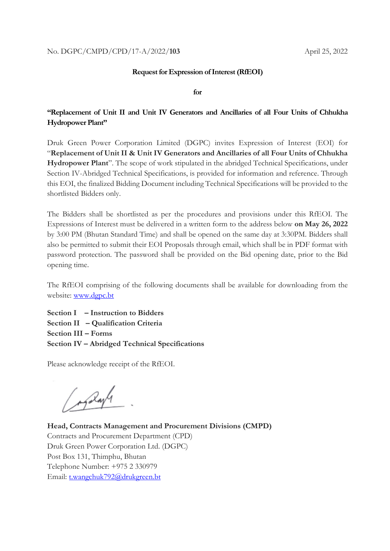#### **Request for Expression of Interest(RfEOI)**

**for**

### **"Replacement of Unit II and Unit IV Generators and Ancillaries of all Four Units of Chhukha Hydropower Plant"**

Druk Green Power Corporation Limited (DGPC) invites Expression of Interest (EOI) for "**Replacement of Unit II & Unit IV Generators and Ancillaries of all Four Units of Chhukha Hydropower Plant**". The scope of work stipulated in the abridged Technical Specifications, under Section IV-Abridged Technical Specifications, is provided for information and reference. Through this EOI, the finalized Bidding Document including Technical Specifications will be provided to the shortlisted Bidders only.

The Bidders shall be shortlisted as per the procedures and provisions under this RfEOI. The Expressions of Interest must be delivered in a written form to the address below **on May 26, 2022** by 3:00 PM (Bhutan Standard Time) and shall be opened on the same day at 3:30PM. Bidders shall also be permitted to submit their EOI Proposals through email, which shall be in PDF format with password protection. The password shall be provided on the Bid opening date, prior to the Bid opening time.

The RfEOI comprising of the following documents shall be available for downloading from the website: [www.dgpc.bt](http://www.dgpc.bt/)

**Section I – Instruction to Bidders Section II – Qualification Criteria Section III – Forms Section IV – Abridged Technical Specifications**

Please acknowledge receipt of the RfEOI.

( maybe.

**Head, Contracts Management and Procurement Divisions (CMPD)** Contracts and Procurement Department (CPD) Druk Green Power Corporation Ltd. (DGPC) Post Box 131, Thimphu, Bhutan Telephone Number: +975 2 330979 Email: [t.wangchuk792@drukgreen.bt](mailto:t.wangchuk792@drukgreen.bt)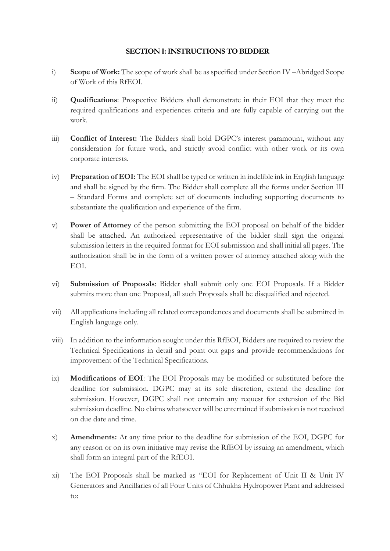### **SECTION I: INSTRUCTIONS TO BIDDER**

- i) **Scope of Work:** The scope of work shall be as specified under Section IV –Abridged Scope of Work of this RfEOI.
- ii) **Qualifications**: Prospective Bidders shall demonstrate in their EOI that they meet the required qualifications and experiences criteria and are fully capable of carrying out the work.
- iii) **Conflict of Interest:** The Bidders shall hold DGPC's interest paramount, without any consideration for future work, and strictly avoid conflict with other work or its own corporate interests.
- iv) **Preparation of EOI:** The EOI shall be typed or written in indelible ink in English language and shall be signed by the firm. The Bidder shall complete all the forms under Section III – Standard Forms and complete set of documents including supporting documents to substantiate the qualification and experience of the firm.
- v) **Power of Attorney** of the person submitting the EOI proposal on behalf of the bidder shall be attached. An authorized representative of the bidder shall sign the original submission letters in the required format for EOI submission and shall initial all pages. The authorization shall be in the form of a written power of attorney attached along with the EOI.
- vi) **Submission of Proposals**: Bidder shall submit only one EOI Proposals. If a Bidder submits more than one Proposal, all such Proposals shall be disqualified and rejected.
- vii) All applications including all related correspondences and documents shall be submitted in English language only.
- viii) In addition to the information sought under this RfEOI, Bidders are required to review the Technical Specifications in detail and point out gaps and provide recommendations for improvement of the Technical Specifications.
- ix) **Modifications of EOI**: The EOI Proposals may be modified or substituted before the deadline for submission. DGPC may at its sole discretion, extend the deadline for submission. However, DGPC shall not entertain any request for extension of the Bid submission deadline. No claims whatsoever will be entertained if submission is not received on due date and time.
- x) **Amendments:** At any time prior to the deadline for submission of the EOI, DGPC for any reason or on its own initiative may revise the RfEOI by issuing an amendment, which shall form an integral part of the RfEOI.
- xi) The EOI Proposals shall be marked as "EOI for Replacement of Unit II & Unit IV Generators and Ancillaries of all Four Units of Chhukha Hydropower Plant and addressed to: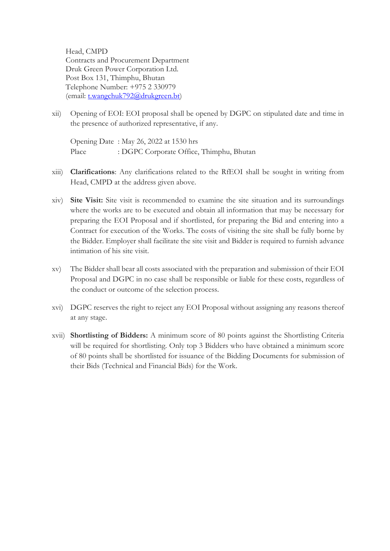Head, CMPD Contracts and Procurement Department Druk Green Power Corporation Ltd. Post Box 131, Thimphu, Bhutan Telephone Number: +975 2 330979 (email: [t.wangchuk792@drukgreen.bt\)](mailto:t.wangchuk792@drukgreen.bt)

xii) Opening of EOI: EOI proposal shall be opened by DGPC on stipulated date and time in the presence of authorized representative, if any.

Opening Date : May 26, 2022 at 1530 hrs Place : DGPC Corporate Office, Thimphu, Bhutan

- xiii) **Clarifications**: Any clarifications related to the RfEOI shall be sought in writing from Head, CMPD at the address given above.
- xiv) **Site Visit:** Site visit is recommended to examine the site situation and its surroundings where the works are to be executed and obtain all information that may be necessary for preparing the EOI Proposal and if shortlisted, for preparing the Bid and entering into a Contract for execution of the Works. The costs of visiting the site shall be fully borne by the Bidder. Employer shall facilitate the site visit and Bidder is required to furnish advance intimation of his site visit.
- xv) The Bidder shall bear all costs associated with the preparation and submission of their EOI Proposal and DGPC in no case shall be responsible or liable for these costs, regardless of the conduct or outcome of the selection process.
- xvi) DGPC reserves the right to reject any EOI Proposal without assigning any reasons thereof at any stage.
- xvii) **Shortlisting of Bidders:** A minimum score of 80 points against the Shortlisting Criteria will be required for shortlisting. Only top 3 Bidders who have obtained a minimum score of 80 points shall be shortlisted for issuance of the Bidding Documents for submission of their Bids (Technical and Financial Bids) for the Work.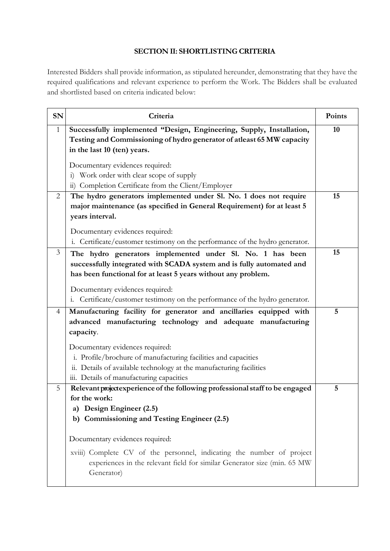# **SECTION II: SHORTLISTING CRITERIA**

Interested Bidders shall provide information, as stipulated hereunder, demonstrating that they have the required qualifications and relevant experience to perform the Work. The Bidders shall be evaluated and shortlisted based on criteria indicated below:

| <b>SN</b>    | Criteria                                                                                                                                                                                                                                                                                                              | Points |
|--------------|-----------------------------------------------------------------------------------------------------------------------------------------------------------------------------------------------------------------------------------------------------------------------------------------------------------------------|--------|
| $\mathbf{1}$ | Successfully implemented "Design, Engineering, Supply, Installation,<br>Testing and Commissioning of hydro generator of atleast 65 MW capacity<br>in the last 10 (ten) years.                                                                                                                                         | 10     |
|              | Documentary evidences required:<br>Work order with clear scope of supply<br>$\ddot{1}$<br>ii) Completion Certificate from the Client/Employer                                                                                                                                                                         |        |
| 2            | The hydro generators implemented under Sl. No. 1 does not require<br>major maintenance (as specified in General Requirement) for at least 5<br>years interval.<br>Documentary evidences required:<br>i. Certificate/customer testimony on the performance of the hydro generator.                                     | 15     |
| 3            | The hydro generators implemented under Sl. No. 1 has been<br>successfully integrated with SCADA system and is fully automated and<br>has been functional for at least 5 years without any problem.<br>Documentary evidences required:<br>i. Certificate/customer testimony on the performance of the hydro generator. | 15     |
| 4            | Manufacturing facility for generator and ancillaries equipped with<br>advanced manufacturing technology and adequate manufacturing<br>capacity.                                                                                                                                                                       | 5      |
|              | Documentary evidences required:<br>i. Profile/brochure of manufacturing facilities and capacities<br>ii. Details of available technology at the manufacturing facilities<br>iii. Details of manufacturing capacities                                                                                                  |        |
| 5            | Relevant project experience of the following professional staff to be engaged<br>for the work:<br>Design Engineer (2.5)<br>a)<br>Commissioning and Testing Engineer (2.5)<br>b)                                                                                                                                       | 5      |
|              | Documentary evidences required:<br>xviii) Complete CV of the personnel, indicating the number of project<br>experiences in the relevant field for similar Generator size (min. 65 MW<br>Generator)                                                                                                                    |        |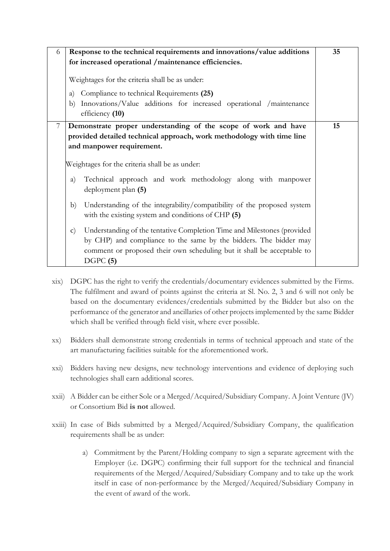| 6              |              | Response to the technical requirements and innovations/value additions                                                                                                                                                            | 35 |
|----------------|--------------|-----------------------------------------------------------------------------------------------------------------------------------------------------------------------------------------------------------------------------------|----|
|                |              | for increased operational /maintenance efficiencies.                                                                                                                                                                              |    |
|                |              | Weightages for the criteria shall be as under:                                                                                                                                                                                    |    |
|                | a)           | Compliance to technical Requirements (25)                                                                                                                                                                                         |    |
|                | b)           | Innovations/Value additions for increased operational /maintenance<br>efficiency (10)                                                                                                                                             |    |
| $\overline{7}$ |              | Demonstrate proper understanding of the scope of work and have                                                                                                                                                                    | 15 |
|                |              | provided detailed technical approach, work methodology with time line                                                                                                                                                             |    |
|                |              | and manpower requirement.                                                                                                                                                                                                         |    |
|                |              | Weightages for the criteria shall be as under:                                                                                                                                                                                    |    |
|                | a)           | Technical approach and work methodology along with manpower<br>deployment plan (5)                                                                                                                                                |    |
|                | b)           | Understanding of the integrability/compatibility of the proposed system<br>with the existing system and conditions of CHP (5)                                                                                                     |    |
|                | $\mathbf{c}$ | Understanding of the tentative Completion Time and Milestones (provided<br>by CHP) and compliance to the same by the bidders. The bidder may<br>comment or proposed their own scheduling but it shall be acceptable to<br>DGPC(5) |    |

- xix) DGPC has the right to verify the credentials/documentary evidences submitted by the Firms. The fulfilment and award of points against the criteria at Sl. No. 2, 3 and 6 will not only be based on the documentary evidences/credentials submitted by the Bidder but also on the performance of the generator and ancillaries of other projects implemented by the same Bidder which shall be verified through field visit, where ever possible.
- xx) Bidders shall demonstrate strong credentials in terms of technical approach and state of the art manufacturing facilities suitable for the aforementioned work.
- xxi) Bidders having new designs, new technology interventions and evidence of deploying such technologies shall earn additional scores.
- xxii) A Bidder can be either Sole or a Merged/Acquired/Subsidiary Company. A Joint Venture (JV) or Consortium Bid **is not** allowed.
- xxiii) In case of Bids submitted by a Merged/Acquired/Subsidiary Company, the qualification requirements shall be as under:
	- a) Commitment by the Parent/Holding company to sign a separate agreement with the Employer (i.e. DGPC) confirming their full support for the technical and financial requirements of the Merged/Acquired/Subsidiary Company and to take up the work itself in case of non-performance by the Merged/Acquired/Subsidiary Company in the event of award of the work.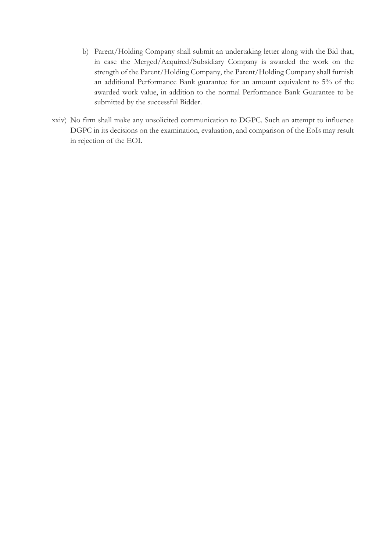- b) Parent/Holding Company shall submit an undertaking letter along with the Bid that, in case the Merged/Acquired/Subsidiary Company is awarded the work on the strength of the Parent/Holding Company, the Parent/Holding Company shall furnish an additional Performance Bank guarantee for an amount equivalent to 5% of the awarded work value, in addition to the normal Performance Bank Guarantee to be submitted by the successful Bidder.
- xxiv) No firm shall make any unsolicited communication to DGPC. Such an attempt to influence DGPC in its decisions on the examination, evaluation, and comparison of the EoIs may result in rejection of the EOI.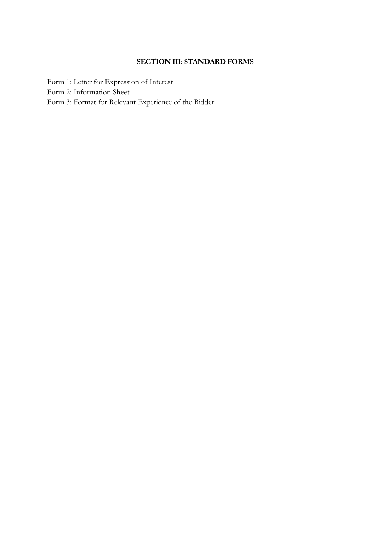### **SECTION III: STANDARD FORMS**

Form 1: Letter for Expression of Interest Form 2: Information Sheet Form 3: Format for Relevant Experience of the Bidder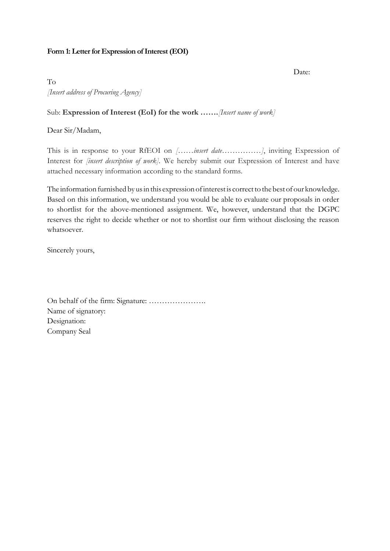### **Form 1: Letter for Expression of Interest (EOI)**

Date:

To *[Insert address of Procuring Agency]*

### Sub: **Expression of Interest (EoI) for the work …….***[Insert name of work]*

Dear Sir/Madam,

This is in response to your RfEOI on *[……insert date……………]*, inviting Expression of Interest for *[insert description of work].* We hereby submit our Expression of Interest and have attached necessary information according to the standard forms.

The information furnished by us in this expression of interest is correct to the best of our knowledge. Based on this information, we understand you would be able to evaluate our proposals in order to shortlist for the above-mentioned assignment. We, however, understand that the DGPC reserves the right to decide whether or not to shortlist our firm without disclosing the reason whatsoever.

Sincerely yours,

On behalf of the firm: Signature: …………………. Name of signatory: Designation: Company Seal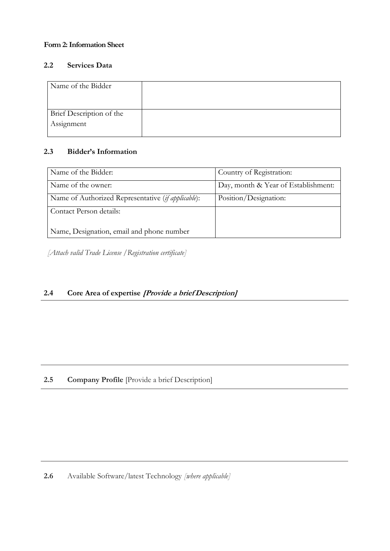### **Form 2: Information Sheet**

### **2.2 Services Data**

| Name of the Bidder       |  |
|--------------------------|--|
| Brief Description of the |  |
| Assignment               |  |

### **2.3 Bidder's Information**

| Name of the Bidder:                                | Country of Registration:            |
|----------------------------------------------------|-------------------------------------|
| Name of the owner:                                 | Day, month & Year of Establishment: |
| Name of Authorized Representative (if applicable): | Position/Designation:               |
| Contact Person details:                            |                                     |
|                                                    |                                     |
| Name, Designation, email and phone number          |                                     |

*[Attach valid Trade License /Registration certificate]*

# **2.4 Core Area of expertise [Provide a brief Description]**

# **2.5 Company Profile** [Provide a brief Description]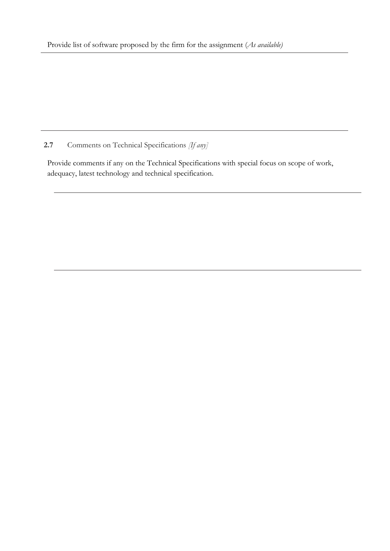**2.7** Comments on Technical Specifications *[If any]*

Provide comments if any on the Technical Specifications with special focus on scope of work, adequacy, latest technology and technical specification.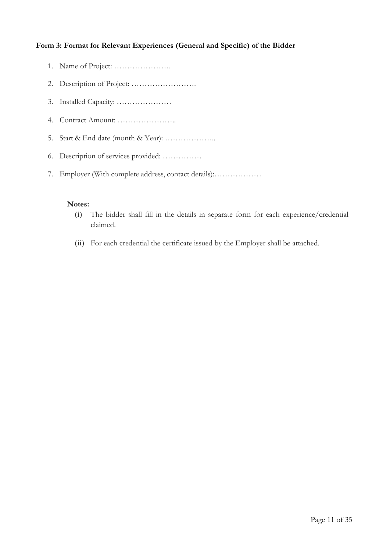### **Form 3: Format for Relevant Experiences (General and Specific) of the Bidder**

- 1. Name of Project: ………………….
- 2. Description of Project: …………………….
- 3. Installed Capacity: …………………
- 4. Contract Amount: …………………..
- 5. Start & End date (month & Year): ………………..
- 6. Description of services provided: ……………
- 7. Employer (With complete address, contact details):………………

### **Notes:**

- (i) The bidder shall fill in the details in separate form for each experience/credential claimed.
- (ii) For each credential the certificate issued by the Employer shall be attached.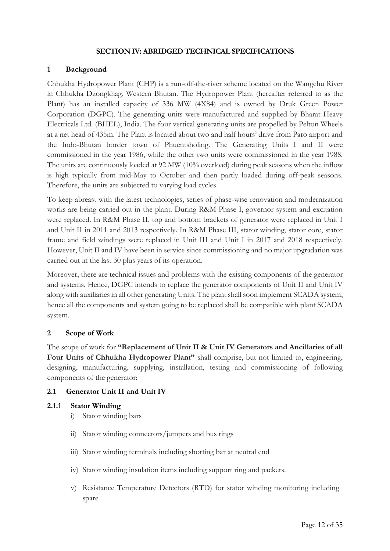### **SECTION IV: ABRIDGED TECHNICAL SPECIFICATIONS**

### **1 Background**

Chhukha Hydropower Plant (CHP) is a run-off-the-river scheme located on the Wangchu River in Chhukha Dzongkhag, Western Bhutan. The Hydropower Plant (hereafter referred to as the Plant) has an installed capacity of 336 MW (4X84) and is owned by Druk Green Power Corporation (DGPC). The generating units were manufactured and supplied by Bharat Heavy Electricals Ltd. (BHEL), India. The four vertical generating units are propelled by Pelton Wheels at a net head of 435m. The Plant is located about two and half hours' drive from Paro airport and the Indo-Bhutan border town of Phuentsholing. The Generating Units I and II were commissioned in the year 1986, while the other two units were commissioned in the year 1988. The units are continuously loaded at 92 MW (10% overload) during peak seasons when the inflow is high typically from mid-May to October and then partly loaded during off-peak seasons. Therefore, the units are subjected to varying load cycles.

To keep abreast with the latest technologies, series of phase-wise renovation and modernization works are being carried out in the plant. During R&M Phase I, governor system and excitation were replaced. In R&M Phase II, top and bottom brackets of generator were replaced in Unit I and Unit II in 2011 and 2013 respectively. In R&M Phase III, stator winding, stator core, stator frame and field windings were replaced in Unit III and Unit I in 2017 and 2018 respectively. However, Unit II and IV have been in service since commissioning and no major upgradation was carried out in the last 30 plus years of its operation.

Moreover, there are technical issues and problems with the existing components of the generator and systems. Hence, DGPC intends to replace the generator components of Unit II and Unit IV along with auxiliaries in all other generating Units. The plant shall soon implement SCADA system, hence all the components and system going to be replaced shall be compatible with plant SCADA system.

### **2 Scope of Work**

The scope of work for **"Replacement of Unit II & Unit IV Generators and Ancillaries of all Four Units of Chhukha Hydropower Plant"** shall comprise, but not limited to, engineering, designing, manufacturing, supplying, installation, testing and commissioning of following components of the generator:

### **2.1 Generator Unit II and Unit IV**

### **2.1.1 Stator Winding**

- i) Stator winding bars
- ii) Stator winding connectors/jumpers and bus rings
- iii) Stator winding terminals including shorting bar at neutral end
- iv) Stator winding insulation items including support ring and packers.
- v) Resistance Temperature Detectors (RTD) for stator winding monitoring including spare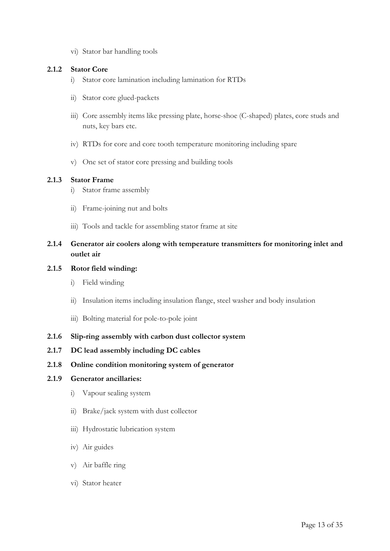vi) Stator bar handling tools

### **2.1.2 Stator Core**

- i) Stator core lamination including lamination for RTDs
- ii) Stator core glued-packets
- iii) Core assembly items like pressing plate, horse-shoe (C-shaped) plates, core studs and nuts, key bars etc.
- iv) RTDs for core and core tooth temperature monitoring including spare
- v) One set of stator core pressing and building tools

### **2.1.3 Stator Frame**

- i) Stator frame assembly
- ii) Frame-joining nut and bolts
- iii) Tools and tackle for assembling stator frame at site

### **2.1.4 Generator air coolers along with temperature transmitters for monitoring inlet and outlet air**

### **2.1.5 Rotor field winding:**

- i) Field winding
- ii) Insulation items including insulation flange, steel washer and body insulation
- iii) Bolting material for pole-to-pole joint
- **2.1.6 Slip-ring assembly with carbon dust collector system**
- **2.1.7 DC lead assembly including DC cables**
- **2.1.8 Online condition monitoring system of generator**

#### **2.1.9 Generator ancillaries:**

- i) Vapour sealing system
- ii) Brake/jack system with dust collector
- iii) Hydrostatic lubrication system
- iv) Air guides
- v) Air baffle ring
- vi) Stator heater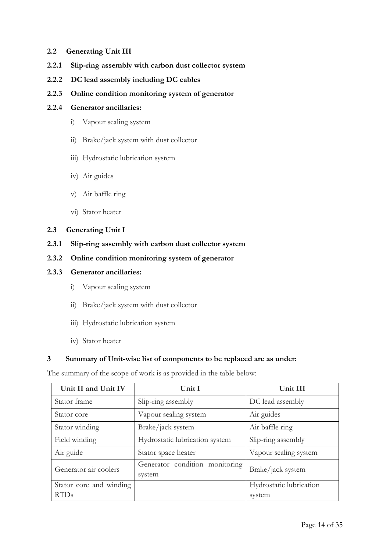#### **2.2 Generating Unit III**

- **2.2.1 Slip-ring assembly with carbon dust collector system**
- **2.2.2 DC lead assembly including DC cables**
- **2.2.3 Online condition monitoring system of generator**

### **2.2.4 Generator ancillaries:**

- i) Vapour sealing system
- ii) Brake/jack system with dust collector
- iii) Hydrostatic lubrication system
- iv) Air guides
- v) Air baffle ring
- vi) Stator heater

#### **2.3 Generating Unit I**

- **2.3.1 Slip-ring assembly with carbon dust collector system**
- **2.3.2 Online condition monitoring system of generator**

#### **2.3.3 Generator ancillaries:**

- i) Vapour sealing system
- ii) Brake/jack system with dust collector
- iii) Hydrostatic lubrication system
- iv) Stator heater

#### **3 Summary of Unit-wise list of components to be replaced are as under:**

The summary of the scope of work is as provided in the table below:

| Unit II and Unit IV     | Unit I                                   | Unit III                |  |
|-------------------------|------------------------------------------|-------------------------|--|
| Stator frame            | Slip-ring assembly                       | DC lead assembly        |  |
| Stator core             | Vapour sealing system                    | Air guides              |  |
| Stator winding          | Brake/jack system                        | Air baffle ring         |  |
| Field winding           | Hydrostatic lubrication system           | Slip-ring assembly      |  |
| Air guide               | Stator space heater                      | Vapour sealing system   |  |
| Generator air coolers   | Generator condition monitoring<br>system | Brake/jack system       |  |
| Stator core and winding |                                          | Hydrostatic lubrication |  |
| <b>RTDs</b>             |                                          | system                  |  |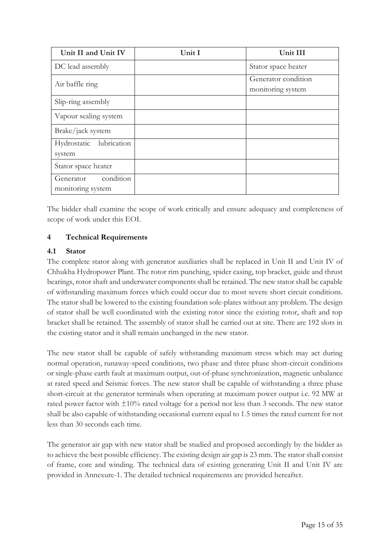| Unit II and Unit IV                         | Unit I | Unit III                                 |
|---------------------------------------------|--------|------------------------------------------|
| DC lead assembly                            |        | Stator space heater                      |
| Air baffle ring                             |        | Generator condition<br>monitoring system |
| Slip-ring assembly                          |        |                                          |
| Vapour sealing system                       |        |                                          |
| Brake/jack system                           |        |                                          |
| lubrication<br>Hydrostatic<br>system        |        |                                          |
| Stator space heater                         |        |                                          |
| condition<br>Generator<br>monitoring system |        |                                          |

The bidder shall examine the scope of work critically and ensure adequacy and completeness of scope of work under this EOI.

### **4 Technical Requirements**

### **4.1 Stator**

The complete stator along with generator auxiliaries shall be replaced in Unit II and Unit IV of Chhukha Hydropower Plant. The rotor rim punching, spider casing, top bracket, guide and thrust bearings, rotor shaft and underwater components shall be retained. The new stator shall be capable of withstanding maximum forces which could occur due to most severe short circuit conditions. The stator shall be lowered to the existing foundation sole-plates without any problem. The design of stator shall be well coordinated with the existing rotor since the existing rotor, shaft and top bracket shall be retained. The assembly of stator shall be carried out at site. There are 192 slots in the existing stator and it shall remain unchanged in the new stator.

The new stator shall be capable of safely withstanding maximum stress which may act during normal operation, runaway-speed conditions, two phase and three phase short-circuit conditions or single-phase earth fault at maximum output, out-of-phase synchronization, magnetic unbalance at rated speed and Seismic forces. The new stator shall be capable of withstanding a three phase short-circuit at the generator terminals when operating at maximum power output i.e. 92 MW at rated power factor with ±10% rated voltage for a period not less than 3 seconds. The new stator shall be also capable of withstanding occasional current equal to 1.5 times the rated current for not less than 30 seconds each time.

The generator air gap with new stator shall be studied and proposed accordingly by the bidder as to achieve the best possible efficiency. The existing design air gap is 23 mm. The stator shall consist of frame, core and winding. The technical data of existing generating Unit II and Unit IV are provided in Annexure-1. The detailed technical requirements are provided hereafter.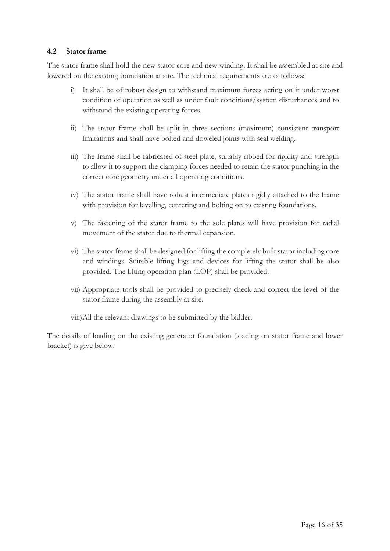### **4.2 Stator frame**

The stator frame shall hold the new stator core and new winding. It shall be assembled at site and lowered on the existing foundation at site. The technical requirements are as follows:

- i) It shall be of robust design to withstand maximum forces acting on it under worst condition of operation as well as under fault conditions/system disturbances and to withstand the existing operating forces.
- ii) The stator frame shall be split in three sections (maximum) consistent transport limitations and shall have bolted and doweled joints with seal welding.
- iii) The frame shall be fabricated of steel plate, suitably ribbed for rigidity and strength to allow it to support the clamping forces needed to retain the stator punching in the correct core geometry under all operating conditions.
- iv) The stator frame shall have robust intermediate plates rigidly attached to the frame with provision for levelling, centering and bolting on to existing foundations.
- v) The fastening of the stator frame to the sole plates will have provision for radial movement of the stator due to thermal expansion.
- vi) The stator frame shall be designed for lifting the completely built stator including core and windings. Suitable lifting lugs and devices for lifting the stator shall be also provided. The lifting operation plan (LOP) shall be provided.
- vii) Appropriate tools shall be provided to precisely check and correct the level of the stator frame during the assembly at site.
- viii)All the relevant drawings to be submitted by the bidder.

The details of loading on the existing generator foundation (loading on stator frame and lower bracket) is give below.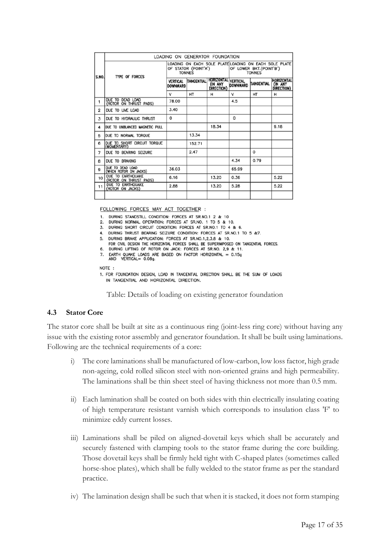|       | LOADING ON GENERATOR FOUNDATION              |                                       |                   |                                              |                                                                                                   |            |                                                    |
|-------|----------------------------------------------|---------------------------------------|-------------------|----------------------------------------------|---------------------------------------------------------------------------------------------------|------------|----------------------------------------------------|
| S.NO. | <b>TYPE OF FORCES</b>                        | OF STATOR (POINT'A')<br><b>TONNES</b> |                   |                                              | LOADING ON EACH SOLE PLATE LOADING ON EACH SOLE PLATE<br>OF LOWER BKT.(POINT'B')<br><b>TONNES</b> |            |                                                    |
|       |                                              | <b>VERTICAL</b><br><b>DOWNWARD</b>    | <b>TANGENTIAL</b> | HORIZONTAL VERTICAL<br>(IN ANY<br>DIRECTION) | <b>DOWNWARD</b>                                                                                   | TANGENTIAL | <b>HORIZONTAL</b><br>(IN ANY<br><b>DIRECTION</b> ) |
|       |                                              | v                                     | HT                | н                                            | v                                                                                                 | HT         | н                                                  |
| 1     | DUE TO DEAD LOAD<br>(ROTOR ON THRUST PADS)   | 78.00                                 |                   |                                              | 4.5                                                                                               |            |                                                    |
| 2     | DUE TO LIVE LOAD                             | 3.40                                  |                   |                                              |                                                                                                   |            |                                                    |
| 3     | DUE TO HYDRAULIC THRUST                      | 0                                     |                   |                                              | $\Omega$                                                                                          |            |                                                    |
| 4     | <b>DUE TO UNBLANCED MAGNETIC PULL</b>        |                                       |                   | 18.34                                        |                                                                                                   |            | 9.18                                               |
| 5     | DUE TO NORMAL TORQUE                         |                                       | 13.34             |                                              |                                                                                                   |            |                                                    |
| 6     | DUE TO SHORT CIRCUIT TORQUE<br>(MOMENTARY)   |                                       | 152.71            |                                              |                                                                                                   |            |                                                    |
| 7     | DUE TO BEARING SEIZURE                       |                                       | 2.47              |                                              |                                                                                                   | 0          |                                                    |
| 8     | DUE TO BRAKING                               |                                       |                   |                                              | 4.34                                                                                              | 0.79       |                                                    |
| 9     | DUE TO DEAD LOAD<br>(WHEN ROTOR ON JACKS)    | 36.03                                 |                   |                                              | 65.99                                                                                             |            |                                                    |
| 10    | DUE TO EARTHQUAKE<br>(ROTOR ON THRUST PADS)  | 6.16                                  |                   | 13.20                                        | 0.36                                                                                              |            | 5.22                                               |
| 11    | <b>DUE TO EARTHQUAKE</b><br>(ROTOR ON JACKS) | 2.88                                  |                   | 13.20                                        | 5.28                                                                                              |            | 5.22                                               |
|       |                                              |                                       |                   |                                              |                                                                                                   |            |                                                    |

FOLLOWING FORCES MAY ACT TOGETHER :

DURING STANDSTILL CONDITION: FORCES AT SR.NO.1 2 & 10 1.

2. DURING NORMAL OPERATION: FORCES AT SR.NO. 1 TO 5 & 10.

3. DURING SHORT CIRCUIT CONDITION: FORCES AT SR.NO.1 TO 4 & 6.

4. DURING THRUST BEARING SEIZURE CONDITION: FORCES AT SR.NO.1 TO 5 &7.

5. DURING BRAKE APPLICATION: FORCES AT SR.NO.1,2,3,8 & 10.

FOR CIVIL DESIGN THE HORIZONTAL FORCES SHALL BE SUPERIMPOSED ON TANGENTIAL FORCES. 6. DURING LIFTING OF ROTOR ON JACK: FORCES AT SR.NO. 2,9 & 11.

EARTH QUAKE LOADS ARE BASED ON FACTOR HORIZONTAL = 0.15g<br>AND VERTICAL= 0.08g. 7.

NOTE:

1. FOR FOUNDATION DESIGN, LOAD IN TANGENTIAL DIRECTION SHALL BE THE SUM OF LOADS IN TANGENTIAL AND HORIZONTAL DIRECTION.

Table: Details of loading on existing generator foundation

### **4.3 Stator Core**

The stator core shall be built at site as a continuous ring (joint-less ring core) without having any issue with the existing rotor assembly and generator foundation. It shall be built using laminations. Following are the technical requirements of a core:

- i) The core laminations shall be manufactured of low-carbon, low loss factor, high grade non-ageing, cold rolled silicon steel with non-oriented grains and high permeability. The laminations shall be thin sheet steel of having thickness not more than 0.5 mm.
- ii) Each lamination shall be coated on both sides with thin electrically insulating coating of high temperature resistant varnish which corresponds to insulation class 'F' to minimize eddy current losses.
- iii) Laminations shall be piled on aligned-dovetail keys which shall be accurately and securely fastened with clamping tools to the stator frame during the core building. Those dovetail keys shall be firmly held tight with C-shaped plates (sometimes called horse-shoe plates), which shall be fully welded to the stator frame as per the standard practice.
- iv) The lamination design shall be such that when it is stacked, it does not form stamping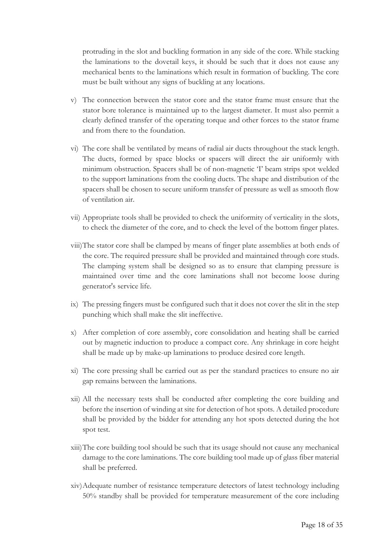protruding in the slot and buckling formation in any side of the core. While stacking the laminations to the dovetail keys, it should be such that it does not cause any mechanical bents to the laminations which result in formation of buckling. The core must be built without any signs of buckling at any locations.

- v) The connection between the stator core and the stator frame must ensure that the stator bore tolerance is maintained up to the largest diameter. It must also permit a clearly defined transfer of the operating torque and other forces to the stator frame and from there to the foundation.
- vi) The core shall be ventilated by means of radial air ducts throughout the stack length. The ducts, formed by space blocks or spacers will direct the air uniformly with minimum obstruction. Spacers shall be of non-magnetic 'I' beam strips spot welded to the support laminations from the cooling ducts. The shape and distribution of the spacers shall be chosen to secure uniform transfer of pressure as well as smooth flow of ventilation air.
- vii) Appropriate tools shall be provided to check the uniformity of verticality in the slots, to check the diameter of the core, and to check the level of the bottom finger plates.
- viii)The stator core shall be clamped by means of finger plate assemblies at both ends of the core. The required pressure shall be provided and maintained through core studs. The clamping system shall be designed so as to ensure that clamping pressure is maintained over time and the core laminations shall not become loose during generator's service life.
- ix) The pressing fingers must be configured such that it does not cover the slit in the step punching which shall make the slit ineffective.
- x) After completion of core assembly, core consolidation and heating shall be carried out by magnetic induction to produce a compact core. Any shrinkage in core height shall be made up by make-up laminations to produce desired core length.
- xi) The core pressing shall be carried out as per the standard practices to ensure no air gap remains between the laminations.
- xii) All the necessary tests shall be conducted after completing the core building and before the insertion of winding at site for detection of hot spots. A detailed procedure shall be provided by the bidder for attending any hot spots detected during the hot spot test.
- xiii)The core building tool should be such that its usage should not cause any mechanical damage to the core laminations. The core building tool made up of glass fiber material shall be preferred.
- xiv)Adequate number of resistance temperature detectors of latest technology including 50% standby shall be provided for temperature measurement of the core including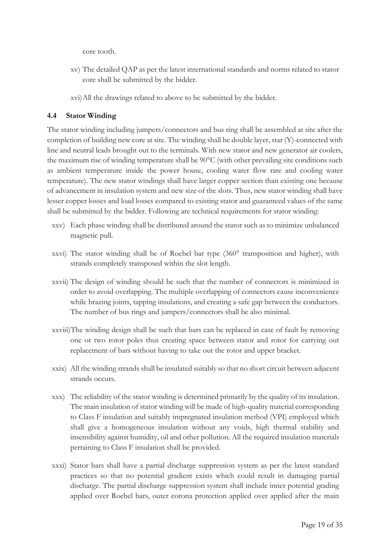core tooth.

- xv) The detailed QAP as per the latest international standards and norms related to stator core shall be submitted by the bidder.
- xvi)All the drawings related to above to be submitted by the bidder.

### **4.4 Stator Winding**

The stator winding including jumpers/connectors and bus ring shall be assembled at site after the completion of building new core at site. The winding shall be double layer, star (Y)-connected with line and neutral leads brought out to the terminals. With new stator and new generator air coolers, the maximum rise of winding temperature shall be 90°C (with other prevailing site conditions such as ambient temperature inside the power house, cooling water flow rate and cooling water temperature). The new stator windings shall have larger copper section than existing one because of advancement in insulation system and new size of the slots. Thus, new stator winding shall have lesser copper losses and load losses compared to existing stator and guaranteed values of the same shall be submitted by the bidder. Following are technical requirements for stator winding:

- xxv) Each phase winding shall be distributed around the stator such as to minimize unbalanced magnetic pull.
- xxvi) The stator winding shall be of Roebel bar type (360° transposition and higher), with strands completely transposed within the slot length.
- xxvii) The design of winding should be such that the number of connectors is minimized in order to avoid overlapping. The multiple overlapping of connectors cause inconvenience while brazing joints, tapping insulations, and creating a safe gap between the conductors. The number of bus rings and jumpers/connectors shall be also minimal.
- xxviii)The winding design shall be such that bars can be replaced in case of fault by removing one or two rotor poles thus creating space between stator and rotor for carrying out replacement of bars without having to take out the rotor and upper bracket.
- xxix) All the winding strands shall be insulated suitably so that no short circuit between adjacent strands occurs.
- xxx) The reliability of the stator winding is determined primarily by the quality of its insulation. The main insulation of stator winding will be made of high-quality material corresponding to Class F insulation and suitably impregnated insulation method (VPI) employed which shall give a homogeneous insulation without any voids, high thermal stability and insensibility against humidity, oil and other pollution. All the required insulation materials pertaining to Class F insulation shall be provided.
- xxxi) Stator bars shall have a partial discharge suppression system as per the latest standard practices so that no potential gradient exists which could result in damaging partial discharge. The partial discharge suppression system shall include inner potential grading applied over Roebel bars, outer corona protection applied over applied after the main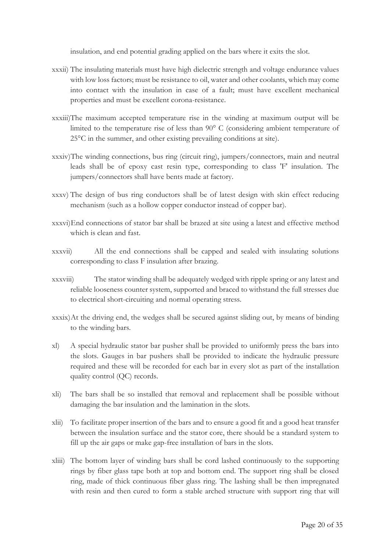insulation, and end potential grading applied on the bars where it exits the slot.

- xxxii) The insulating materials must have high dielectric strength and voltage endurance values with low loss factors; must be resistance to oil, water and other coolants, which may come into contact with the insulation in case of a fault; must have excellent mechanical properties and must be excellent corona-resistance.
- xxxiii)The maximum accepted temperature rise in the winding at maximum output will be limited to the temperature rise of less than 90° C (considering ambient temperature of 25°C in the summer, and other existing prevailing conditions at site).
- xxxiv)The winding connections, bus ring (circuit ring), jumpers/connectors, main and neutral leads shall be of epoxy cast resin type, corresponding to class 'F' insulation. The jumpers/connectors shall have bents made at factory.
- xxxv) The design of bus ring conductors shall be of latest design with skin effect reducing mechanism (such as a hollow copper conductor instead of copper bar).
- xxxvi)End connections of stator bar shall be brazed at site using a latest and effective method which is clean and fast.
- xxxvii) All the end connections shall be capped and sealed with insulating solutions corresponding to class F insulation after brazing.
- xxxviii) The stator winding shall be adequately wedged with ripple spring or any latest and reliable looseness counter system, supported and braced to withstand the full stresses due to electrical short-circuiting and normal operating stress.
- xxxix)At the driving end, the wedges shall be secured against sliding out, by means of binding to the winding bars.
- xl) A special hydraulic stator bar pusher shall be provided to uniformly press the bars into the slots. Gauges in bar pushers shall be provided to indicate the hydraulic pressure required and these will be recorded for each bar in every slot as part of the installation quality control (QC) records.
- xli) The bars shall be so installed that removal and replacement shall be possible without damaging the bar insulation and the lamination in the slots.
- xlii) To facilitate proper insertion of the bars and to ensure a good fit and a good heat transfer between the insulation surface and the stator core, there should be a standard system to fill up the air gaps or make gap-free installation of bars in the slots.
- xliii) The bottom layer of winding bars shall be cord lashed continuously to the supporting rings by fiber glass tape both at top and bottom end. The support ring shall be closed ring, made of thick continuous fiber glass ring. The lashing shall be then impregnated with resin and then cured to form a stable arched structure with support ring that will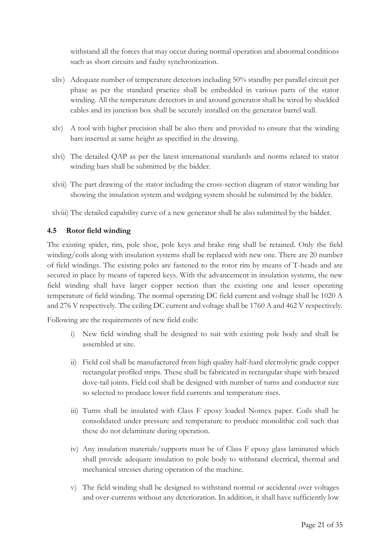withstand all the forces that may occur during normal operation and abnormal conditions such as short circuits and faulty synchronization.

- xliv) Adequate number of temperature detectors including 50% standby per parallel circuit per phase as per the standard practice shall be embedded in various parts of the stator winding. All the temperature detectors in and around generator shall be wired by shielded cables and its junction box shall be securely installed on the generator barrel wall.
- xlv) A tool with higher precision shall be also there and provided to ensure that the winding bars inserted at same height as specified in the drawing.
- xlvi) The detailed QAP as per the latest international standards and norms related to stator winding bars shall be submitted by the bidder.
- xlvii) The part drawing of the stator including the cross-section diagram of stator winding bar showing the insulation system and wedging system should be submitted by the bidder.
- xlviii) The detailed capability curve of a new generator shall be also submitted by the bidder.

### **4.5 Rotor field winding**

The existing spider, rim, pole shoe, pole keys and brake ring shall be retained. Only the field winding/coils along with insulation systems shall be replaced with new one. There are 20 number of field windings. The existing poles are fastened to the rotor rim by means of T-heads and are secured in place by means of tapered keys. With the advancement in insulation systems, the new field winding shall have larger copper section than the existing one and lesser operating temperature of field winding. The normal operating DC field current and voltage shall be 1020 A and 276 V respectively. The ceiling DC current and voltage shall be 1760 A and 462 V respectively.

Following are the requirements of new field coils:

- i) New field winding shall be designed to suit with existing pole body and shall be assembled at site.
- ii) Field coil shall be manufactured from high quality half-hard electrolytic grade copper rectangular profiled strips. These shall be fabricated in rectangular shape with brazed dove-tail joints. Field coil shall be designed with number of turns and conductor size so selected to produce lower field currents and temperature rises.
- iii) Turns shall be insulated with Class F epoxy loaded Nomex paper. Coils shall be consolidated under pressure and temperature to produce monolithic coil such that these do not delaminate during operation.
- iv) Any insulation materials/supports must be of Class F epoxy glass laminated which shall provide adequate insulation to pole body to withstand electrical, thermal and mechanical stresses during operation of the machine.
- v) The field winding shall be designed to withstand normal or accidental over voltages and over-currents without any deterioration. In addition, it shall have sufficiently low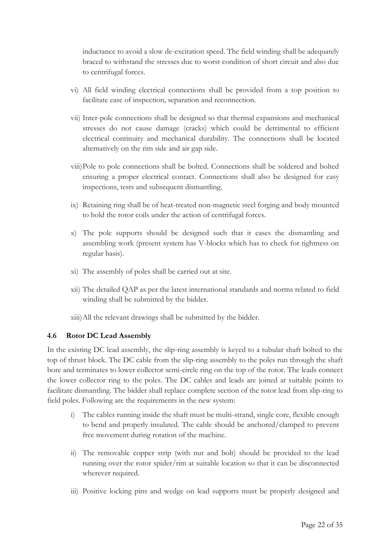inductance to avoid a slow de-excitation speed. The field winding shall be adequately braced to withstand the stresses due to worst condition of short circuit and also due to centrifugal forces.

- vi) All field winding electrical connections shall be provided from a top position to facilitate ease of inspection, separation and reconnection.
- vii) Inter-pole connections shall be designed so that thermal expansions and mechanical stresses do not cause damage (cracks) which could be detrimental to efficient electrical continuity and mechanical durability. The connections shall be located alternatively on the rim side and air gap side.
- viii)Pole to pole connections shall be bolted. Connections shall be soldered and bolted ensuring a proper electrical contact. Connections shall also be designed for easy inspections, tests and subsequent dismantling.
- ix) Retaining ring shall be of heat-treated non-magnetic steel forging and body mounted to hold the rotor coils under the action of centrifugal forces.
- x) The pole supports should be designed such that it eases the dismantling and assembling work (present system has V-blocks which has to check for tightness on regular basis).
- xi) The assembly of poles shall be carried out at site.
- xii) The detailed QAP as per the latest international standards and norms related to field winding shall be submitted by the bidder.
- xiii)All the relevant drawings shall be submitted by the bidder.

### **4.6 Rotor DC Lead Assembly**

In the existing DC lead assembly, the slip-ring assembly is keyed to a tubular shaft bolted to the top of thrust block. The DC cable from the slip-ring assembly to the poles run through the shaft bore and terminates to lower collector semi-circle ring on the top of the rotor. The leads connect the lower collector ring to the poles. The DC cables and leads are joined at suitable points to facilitate dismantling. The bidder shall replace complete section of the rotor lead from slip-ring to field poles. Following are the requirements in the new system:

- i) The cables running inside the shaft must be multi-strand, single core, flexible enough to bend and properly insulated. The cable should be anchored/clamped to prevent free movement during rotation of the machine.
- ii) The removable copper strip (with nut and bolt) should be provided to the lead running over the rotor spider/rim at suitable location so that it can be disconnected wherever required.
- iii) Positive locking pins and wedge on lead supports must be properly designed and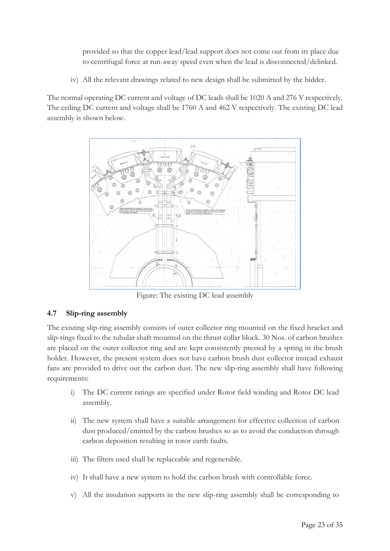provided so that the copper lead/lead support does not come out from its place due to centrifugal force at run-away speed even when the lead is disconnected/delinked.

iv) All the relevant drawings related to new design shall be submitted by the bidder.

The normal operating DC current and voltage of DC leads shall be 1020 A and 276 V respectively. The ceiling DC current and voltage shall be 1760 A and 462 V respectively. The existing DC lead assembly is shown below.



Figure: The existing DC lead assembly

# **4.7 Slip-ring assembly**

The existing slip-ring assembly consists of outer collector ring mounted on the fixed bracket and slip-rings fixed to the tubular shaft mounted on the thrust collar block. 30 Nos. of carbon brushes are placed on the outer collector ring and are kept consistently pressed by a spring in the brush holder. However, the present system does not have carbon brush dust collector instead exhaust fans are provided to drive out the carbon dust. The new slip-ring assembly shall have following requirements:

- i) The DC current ratings are specified under Rotor field winding and Rotor DC lead assembly.
- ii) The new system shall have a suitable arrangement for effective collection of carbon dust produced/emitted by the carbon brushes so as to avoid the conduction through carbon deposition resulting in rotor earth faults.
- iii) The filters used shall be replaceable and regenerable.
- iv) It shall have a new system to hold the carbon brush with controllable force.
- v) All the insulation supports in the new slip-ring assembly shall be corresponding to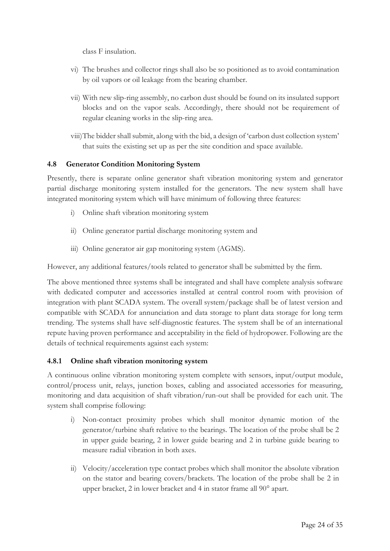class F insulation.

- vi) The brushes and collector rings shall also be so positioned as to avoid contamination by oil vapors or oil leakage from the bearing chamber.
- vii) With new slip-ring assembly, no carbon dust should be found on its insulated support blocks and on the vapor seals. Accordingly, there should not be requirement of regular cleaning works in the slip-ring area.
- viii)The bidder shall submit, along with the bid, a design of 'carbon dust collection system' that suits the existing set up as per the site condition and space available.

### **4.8 Generator Condition Monitoring System**

Presently, there is separate online generator shaft vibration monitoring system and generator partial discharge monitoring system installed for the generators. The new system shall have integrated monitoring system which will have minimum of following three features:

- i) Online shaft vibration monitoring system
- ii) Online generator partial discharge monitoring system and
- iii) Online generator air gap monitoring system (AGMS).

However, any additional features/tools related to generator shall be submitted by the firm.

The above mentioned three systems shall be integrated and shall have complete analysis software with dedicated computer and accessories installed at central control room with provision of integration with plant SCADA system. The overall system/package shall be of latest version and compatible with SCADA for annunciation and data storage to plant data storage for long term trending. The systems shall have self-diagnostic features. The system shall be of an international repute having proven performance and acceptability in the field of hydropower. Following are the details of technical requirements against each system:

### **4.8.1 Online shaft vibration monitoring system**

A continuous online vibration monitoring system complete with sensors, input/output module, control/process unit, relays, junction boxes, cabling and associated accessories for measuring, monitoring and data acquisition of shaft vibration/run-out shall be provided for each unit. The system shall comprise following:

- i) Non-contact proximity probes which shall monitor dynamic motion of the generator/turbine shaft relative to the bearings. The location of the probe shall be 2 in upper guide bearing, 2 in lower guide bearing and 2 in turbine guide bearing to measure radial vibration in both axes.
- ii) Velocity/acceleration type contact probes which shall monitor the absolute vibration on the stator and bearing covers/brackets. The location of the probe shall be 2 in upper bracket, 2 in lower bracket and 4 in stator frame all 90° apart.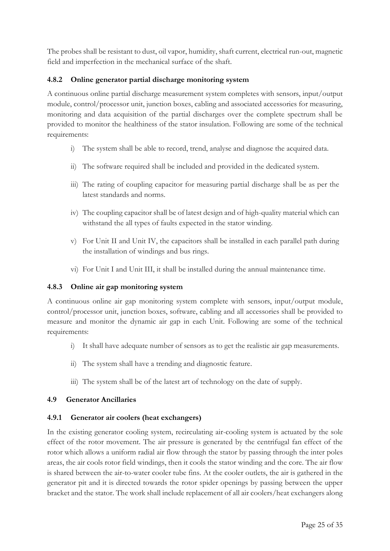The probes shall be resistant to dust, oil vapor, humidity, shaft current, electrical run-out, magnetic field and imperfection in the mechanical surface of the shaft.

### **4.8.2 Online generator partial discharge monitoring system**

A continuous online partial discharge measurement system completes with sensors, input/output module, control/processor unit, junction boxes, cabling and associated accessories for measuring, monitoring and data acquisition of the partial discharges over the complete spectrum shall be provided to monitor the healthiness of the stator insulation. Following are some of the technical requirements:

- i) The system shall be able to record, trend, analyse and diagnose the acquired data.
- ii) The software required shall be included and provided in the dedicated system.
- iii) The rating of coupling capacitor for measuring partial discharge shall be as per the latest standards and norms.
- iv) The coupling capacitor shall be of latest design and of high-quality material which can withstand the all types of faults expected in the stator winding.
- v) For Unit II and Unit IV, the capacitors shall be installed in each parallel path during the installation of windings and bus rings.
- vi) For Unit I and Unit III, it shall be installed during the annual maintenance time.

### **4.8.3 Online air gap monitoring system**

A continuous online air gap monitoring system complete with sensors, input/output module, control/processor unit, junction boxes, software, cabling and all accessories shall be provided to measure and monitor the dynamic air gap in each Unit. Following are some of the technical requirements:

- i) It shall have adequate number of sensors as to get the realistic air gap measurements.
- ii) The system shall have a trending and diagnostic feature.
- iii) The system shall be of the latest art of technology on the date of supply.

### **4.9 Generator Ancillaries**

### **4.9.1 Generator air coolers (heat exchangers)**

In the existing generator cooling system, recirculating air-cooling system is actuated by the sole effect of the rotor movement. The air pressure is generated by the centrifugal fan effect of the rotor which allows a uniform radial air flow through the stator by passing through the inter poles areas, the air cools rotor field windings, then it cools the stator winding and the core. The air flow is shared between the air-to-water cooler tube fins. At the cooler outlets, the air is gathered in the generator pit and it is directed towards the rotor spider openings by passing between the upper bracket and the stator. The work shall include replacement of all air coolers/heat exchangers along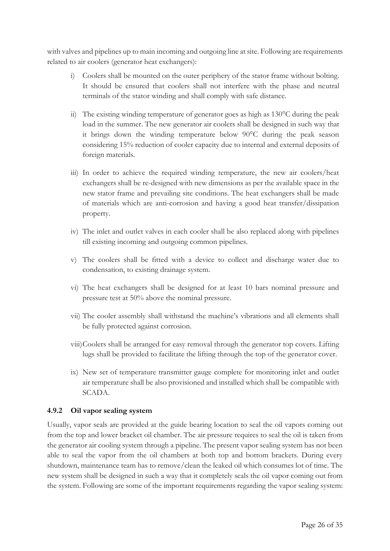with valves and pipelines up to main incoming and outgoing line at site. Following are requirements related to air coolers (generator heat exchangers):

- i) Coolers shall be mounted on the outer periphery of the stator frame without bolting. It should be ensured that coolers shall not interfere with the phase and neutral terminals of the stator winding and shall comply with safe distance.
- ii) The existing winding temperature of generator goes as high as  $130^{\circ}$ C during the peak load in the summer. The new generator air coolers shall be designed in such way that it brings down the winding temperature below 90°C during the peak season considering 15% reduction of cooler capacity due to internal and external deposits of foreign materials.
- iii) In order to achieve the required winding temperature, the new air coolers/heat exchangers shall be re-designed with new dimensions as per the available space in the new stator frame and prevailing site conditions. The heat exchangers shall be made of materials which are anti-corrosion and having a good heat transfer/dissipation property.
- iv) The inlet and outlet valves in each cooler shall be also replaced along with pipelines till existing incoming and outgoing common pipelines.
- v) The coolers shall be fitted with a device to collect and discharge water due to condensation, to existing drainage system.
- vi) The heat exchangers shall be designed for at least 10 bars nominal pressure and pressure test at 50% above the nominal pressure.
- vii) The cooler assembly shall withstand the machine's vibrations and all elements shall be fully protected against corrosion.
- viii)Coolers shall be arranged for easy removal through the generator top covers. Lifting lugs shall be provided to facilitate the lifting through the top of the generator cover.
- ix) New set of temperature transmitter gauge complete for monitoring inlet and outlet air temperature shall be also provisioned and installed which shall be compatible with SCADA.

### **4.9.2 Oil vapor sealing system**

Usually, vapor seals are provided at the guide bearing location to seal the oil vapors coming out from the top and lower bracket oil chamber. The air pressure requires to seal the oil is taken from the generator air cooling system through a pipeline. The present vapor sealing system has not been able to seal the vapor from the oil chambers at both top and bottom brackets. During every shutdown, maintenance team has to remove/clean the leaked oil which consumes lot of time. The new system shall be designed in such a way that it completely seals the oil vapor coming out from the system. Following are some of the important requirements regarding the vapor sealing system: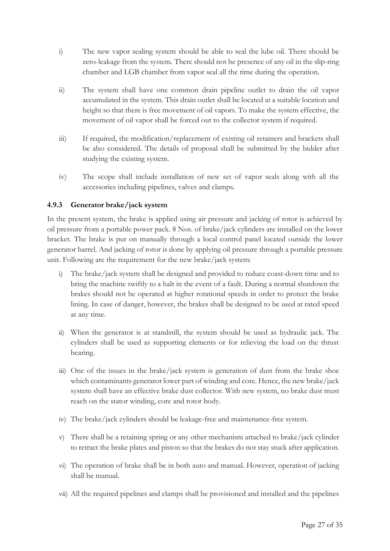- i) The new vapor sealing system should be able to seal the lube oil. There should be zero-leakage from the system. There should not be presence of any oil in the slip-ring chamber and LGB chamber from vapor seal all the time during the operation.
- ii) The system shall have one common drain pipeline outlet to drain the oil vapor accumulated in the system. This drain outlet shall be located at a suitable location and height so that there is free movement of oil vapors. To make the system effective, the movement of oil vapor shall be forced out to the collector system if required.
- iii) If required, the modification/replacement of existing oil retainers and brackets shall be also considered. The details of proposal shall be submitted by the bidder after studying the existing system.
- iv) The scope shall include installation of new set of vapor seals along with all the accessories including pipelines, valves and clamps.

# **4.9.3 Generator brake/jack system**

In the present system, the brake is applied using air pressure and jacking of rotor is achieved by oil pressure from a portable power pack. 8 Nos. of brake/jack cylinders are installed on the lower bracket. The brake is put on manually through a local control panel located outside the lower generator barrel. And jacking of rotor is done by applying oil pressure through a portable pressure unit. Following are the requirement for the new brake/jack system:

- i) The brake/jack system shall be designed and provided to reduce coast-down time and to bring the machine swiftly to a halt in the event of a fault. During a normal shutdown the brakes should not be operated at higher rotational speeds in order to protect the brake lining. In case of danger, however, the brakes shall be designed to be used at rated speed at any time.
- ii) When the generator is at standstill, the system should be used as hydraulic jack. The cylinders shall be used as supporting elements or for relieving the load on the thrust bearing.
- iii) One of the issues in the brake/jack system is generation of dust from the brake shoe which contaminants generator lower part of winding and core. Hence, the new brake/jack system shall have an effective brake dust collector. With new system, no brake dust must reach on the stator winding, core and rotor body.
- iv) The brake/jack cylinders should be leakage-free and maintenance-free system.
- v) There shall be a retaining spring or any other mechanism attached to brake/jack cylinder to retract the brake plates and piston so that the brakes do not stay stuck after application.
- vi) The operation of brake shall be in both auto and manual. However, operation of jacking shall be manual.
- vii) All the required pipelines and clamps shall be provisioned and installed and the pipelines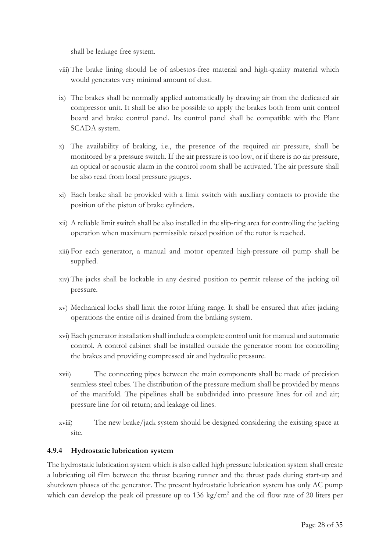shall be leakage free system.

- viii) The brake lining should be of asbestos-free material and high-quality material which would generates very minimal amount of dust.
- ix) The brakes shall be normally applied automatically by drawing air from the dedicated air compressor unit. It shall be also be possible to apply the brakes both from unit control board and brake control panel. Its control panel shall be compatible with the Plant SCADA system.
- x) The availability of braking, i.e., the presence of the required air pressure, shall be monitored by a pressure switch. If the air pressure is too low, or if there is no air pressure, an optical or acoustic alarm in the control room shall be activated. The air pressure shall be also read from local pressure gauges.
- xi) Each brake shall be provided with a limit switch with auxiliary contacts to provide the position of the piston of brake cylinders.
- xii) A reliable limit switch shall be also installed in the slip-ring area for controlling the jacking operation when maximum permissible raised position of the rotor is reached.
- xiii) For each generator, a manual and motor operated high-pressure oil pump shall be supplied.
- xiv) The jacks shall be lockable in any desired position to permit release of the jacking oil pressure.
- xv) Mechanical locks shall limit the rotor lifting range. It shall be ensured that after jacking operations the entire oil is drained from the braking system.
- xvi) Each generator installation shall include a complete control unit for manual and automatic control. A control cabinet shall be installed outside the generator room for controlling the brakes and providing compressed air and hydraulic pressure.
- xvii) The connecting pipes between the main components shall be made of precision seamless steel tubes. The distribution of the pressure medium shall be provided by means of the manifold. The pipelines shall be subdivided into pressure lines for oil and air; pressure line for oil return; and leakage oil lines.
- xviii) The new brake/jack system should be designed considering the existing space at site.

### **4.9.4 Hydrostatic lubrication system**

The hydrostatic lubrication system which is also called high pressure lubrication system shall create a lubricating oil film between the thrust bearing runner and the thrust pads during start-up and shutdown phases of the generator. The present hydrostatic lubrication system has only AC pump which can develop the peak oil pressure up to 136 kg/cm<sup>2</sup> and the oil flow rate of 20 liters per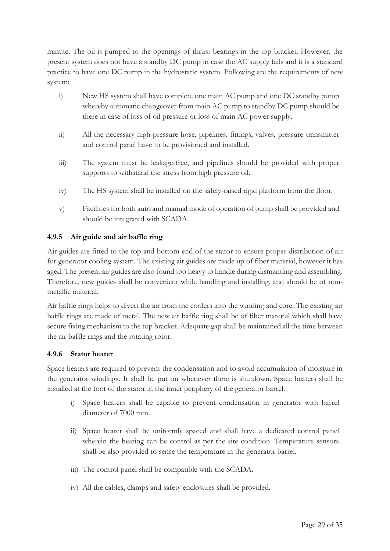minute. The oil is pumped to the openings of thrust bearings in the top bracket. However, the present system does not have a standby DC pump in case the AC supply fails and it is a standard practice to have one DC pump in the hydrostatic system. Following are the requirements of new system:

- i) New HS system shall have complete one main AC pump and one DC standby pump whereby automatic changeover from main AC pump to standby DC pump should be there in case of loss of oil pressure or loss of main AC power supply.
- ii) All the necessary high-pressure hose, pipelines, fittings, valves, pressure transmitter and control panel have to be provisioned and installed.
- iii) The system must be leakage-free, and pipelines should be provided with proper supports to withstand the stress from high pressure oil.
- iv) The HS system shall be installed on the safely-raised rigid platform from the floor.
- v) Facilities for both auto and manual mode of operation of pump shall be provided and should be integrated with SCADA.

### **4.9.5 Air guide and air baffle ring**

Air guides are fitted to the top and bottom end of the stator to ensure proper distribution of air for generator cooling system. The existing air guides are made up of fiber material, however it has aged. The present air guides are also found too heavy to handle during dismantling and assembling. Therefore, new guides shall be convenient while handling and installing, and should be of nonmetallic material.

Air baffle rings helps to divert the air from the coolers into the winding and core. The existing air baffle rings are made of metal. The new air baffle ring shall be of fiber material which shall have secure fixing mechanism to the top bracket. Adequate gap shall be maintained all the time between the air baffle rings and the rotating rotor.

### **4.9.6 Stator heater**

Space heaters are required to prevent the condensation and to avoid accumulation of moisture in the generator windings. It shall be put on whenever there is shutdown. Space heaters shall be installed at the foot of the stator in the inner periphery of the generator barrel.

- i) Space heaters shall be capable to prevent condensation in generator with barrel diameter of 7000 mm.
- ii) Space heater shall be uniformly spaced and shall have a dedicated control panel wherein the heating can be control as per the site condition. Temperature sensors shall be also provided to sense the temperature in the generator barrel.
- iii) The control panel shall be compatible with the SCADA.
- iv) All the cables, clamps and safety enclosures shall be provided.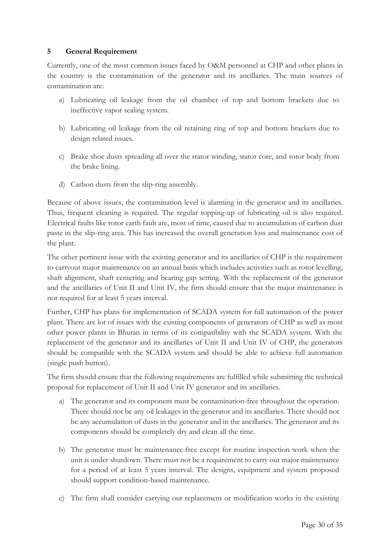### **5 General Requirement**

Currently, one of the most common issues faced by O&M personnel at CHP and other plants in the country is the contamination of the generator and its ancillaries. The main sources of contamination are:

- a) Lubricating oil leakage from the oil chamber of top and bottom brackets due to ineffective vapor sealing system.
- b) Lubricating oil leakage from the oil retaining ring of top and bottom brackets due to design related issues.
- c) Brake shoe dusts spreading all over the stator winding, stator core, and rotor body from the brake lining.
- d) Carbon dusts from the slip-ring assembly.

Because of above issues, the contamination level is alarming in the generator and its ancillaries. Thus, frequent cleaning is required. The regular topping-up of lubricating oil is also required. Electrical faults like rotor earth fault are, most of time, caused due to accumulation of carbon dust paste in the slip-ring area. This has increased the overall generation loss and maintenance cost of the plant.

The other pertinent issue with the existing generator and its ancillaries of CHP is the requirement to carryout major maintenance on an annual basis which includes activities such as rotor levelling, shaft alignment, shaft centering and bearing gap setting. With the replacement of the generator and the ancillaries of Unit II and Unit IV, the firm should ensure that the major maintenance is not required for at least 5 years interval.

Further, CHP has plans for implementation of SCADA system for full automation of the power plant. There are lot of issues with the existing components of generators of CHP as well as most other power plants in Bhutan in terms of its compatibility with the SCADA system. With the replacement of the generator and its ancillaries of Unit II and Unit IV of CHP, the generators should be compatible with the SCADA system and should be able to achieve full automation (single push button).

The firm should ensure that the following requirements are fulfilled while submitting the technical proposal for replacement of Unit II and Unit IV generator and its ancillaries.

- a) The generator and its component must be contamination-free throughout the operation. There should not be any oil leakages in the generator and its ancillaries. There should not be any accumulation of dusts in the generator and in the ancillaries. The generator and its components should be completely dry and clean all the time.
- b) The generator must be maintenance-free except for routine inspection work when the unit is under shutdown. There must not be a requirement to carry out major maintenance for a period of at least 5 years interval. The designs, equipment and system proposed should support condition-based maintenance.
- c) The firm shall consider carrying out replacement or modification works in the existing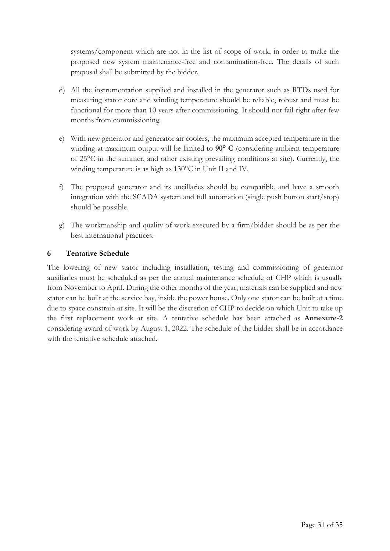systems/component which are not in the list of scope of work, in order to make the proposed new system maintenance-free and contamination-free. The details of such proposal shall be submitted by the bidder.

- d) All the instrumentation supplied and installed in the generator such as RTDs used for measuring stator core and winding temperature should be reliable, robust and must be functional for more than 10 years after commissioning. It should not fail right after few months from commissioning.
- e) With new generator and generator air coolers, the maximum accepted temperature in the winding at maximum output will be limited to **90° C** (considering ambient temperature of 25°C in the summer, and other existing prevailing conditions at site). Currently, the winding temperature is as high as 130°C in Unit II and IV.
- f) The proposed generator and its ancillaries should be compatible and have a smooth integration with the SCADA system and full automation (single push button start/stop) should be possible.
- g) The workmanship and quality of work executed by a firm/bidder should be as per the best international practices.

### **6 Tentative Schedule**

The lowering of new stator including installation, testing and commissioning of generator auxiliaries must be scheduled as per the annual maintenance schedule of CHP which is usually from November to April. During the other months of the year, materials can be supplied and new stator can be built at the service bay, inside the power house. Only one stator can be built at a time due to space constrain at site. It will be the discretion of CHP to decide on which Unit to take up the first replacement work at site. A tentative schedule has been attached as **Annexure-2** considering award of work by August 1, 2022. The schedule of the bidder shall be in accordance with the tentative schedule attached.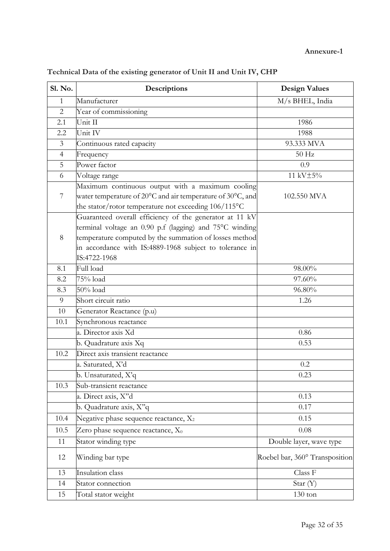| <b>Sl. No.</b> | Descriptions                                                                   | <b>Design Values</b>           |
|----------------|--------------------------------------------------------------------------------|--------------------------------|
| $\mathbf{1}$   | Manufacturer                                                                   | M/s BHEL, India                |
| $\overline{2}$ | Year of commissioning                                                          |                                |
| 2.1            | Unit II                                                                        | 1986                           |
| 2.2            | Unit IV                                                                        | 1988                           |
| $\mathfrak{Z}$ | Continuous rated capacity                                                      | 93.333 MVA                     |
| $\overline{4}$ | Frequency                                                                      | 50 Hz                          |
| 5              | Power factor                                                                   | 0.9                            |
| 6              | Voltage range                                                                  | 11 kV±5%                       |
|                | Maximum continuous output with a maximum cooling                               |                                |
| $\overline{7}$ | water temperature of $20^{\circ}$ C and air temperature of $30^{\circ}$ C, and | 102.550 MVA                    |
|                | the stator/rotor temperature not exceeding 106/115°C                           |                                |
|                | Guaranteed overall efficiency of the generator at 11 kV                        |                                |
|                | terminal voltage an 0.90 p.f (lagging) and 75°C winding                        |                                |
| 8              | temperature computed by the summation of losses method                         |                                |
|                | in accordance with IS:4889-1968 subject to tolerance in                        |                                |
|                | IS:4722-1968                                                                   |                                |
| 8.1            | Full load                                                                      | 98.00%                         |
| 8.2            | 75% load                                                                       | 97.60%                         |
| 8.3            | $50\%$ load                                                                    | 96.80%                         |
| 9              | Short circuit ratio                                                            | 1.26                           |
| 10             | Generator Reactance (p.u)                                                      |                                |
| 10.1           | Synchronous reactance                                                          |                                |
|                | a. Director axis Xd                                                            | 0.86                           |
|                | b. Quadrature axis Xq                                                          | 0.53                           |
| 10.2           | Direct axis transient reactance                                                |                                |
|                | a. Saturated, X'd                                                              | 0.2                            |
|                | b. Unsaturated, X'q                                                            | 0.23                           |
| 10.3           | Sub-transient reactance                                                        |                                |
|                | a. Direct axis, X"d                                                            | 0.13                           |
|                | b. Quadrature axis, X"q                                                        | 0.17                           |
| 10.4           | Negative phase sequence reactance, $X_2$                                       | 0.15                           |
| 10.5           | Zero phase sequence reactance, $X_0$                                           | 0.08                           |
| 11             | Stator winding type                                                            | Double layer, wave type        |
| 12             | Winding bar type                                                               | Roebel bar, 360° Transposition |
| 13             | Insulation class                                                               | Class F                        |
| 14             | Stator connection                                                              | Star (Y)                       |
| 15             | Total stator weight                                                            | $130 \text{ ton}$              |

# **Technical Data of the existing generator of Unit II and Unit IV, CHP**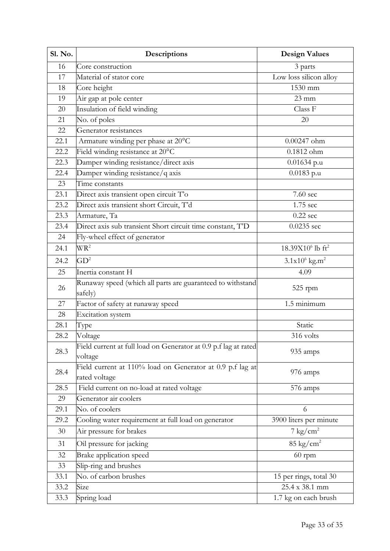| <b>Sl. No.</b> | Descriptions                                                               | <b>Design Values</b>                     |  |
|----------------|----------------------------------------------------------------------------|------------------------------------------|--|
| 16             | Core construction                                                          | 3 parts                                  |  |
| 17             | Material of stator core                                                    | Low loss silicon alloy                   |  |
| 18             | Core height                                                                | 1530 mm                                  |  |
| 19             | Air gap at pole center                                                     | $23 \text{ mm}$                          |  |
| 20             | Insulation of field winding                                                | Class F                                  |  |
| 21             | No. of poles                                                               | 20                                       |  |
| 22             | Generator resistances                                                      |                                          |  |
| 22.1           | Armature winding per phase at 20°C                                         | $0.00247$ ohm                            |  |
| 22.2           | Field winding resistance at 20°C                                           | $0.1812$ ohm                             |  |
| 22.3           | Damper winding resistance/direct axis                                      | $0.01634$ p.u                            |  |
| 22.4           | Damper winding resistance/q axis                                           | $0.0183$ p.u                             |  |
| 23             | Time constants                                                             |                                          |  |
| 23.1           | Direct axis transient open circuit T'o                                     | 7.60 sec                                 |  |
| 23.2           | Direct axis transient short Circuit, T'd                                   | 1.75 sec                                 |  |
| 23.3           | Armature, Ta                                                               | $0.22$ sec                               |  |
| 23.4           | Direct axis sub transient Short circuit time constant, T'D                 | $0.0235$ sec                             |  |
| 24             | Fly-wheel effect of generator                                              |                                          |  |
| 24.1           | WR <sup>2</sup>                                                            | 18.39X10 <sup>6</sup> lb ft <sup>2</sup> |  |
| 24.2           | GD <sup>2</sup>                                                            | $3.1x10^6$ kg.m <sup>2</sup>             |  |
| 25             | Inertia constant H                                                         | 4.09                                     |  |
| 26             | Runaway speed (which all parts are guaranteed to withstand<br>safely)      | 525 rpm                                  |  |
| 27             | Factor of safety at runaway speed                                          | 1.5 minimum                              |  |
| 28             | Excitation system                                                          |                                          |  |
| 28.1           | Type                                                                       | Static                                   |  |
| 28.2           | Voltage                                                                    | 316 volts                                |  |
| 28.3           | Field current at full load on Generator at 0.9 p.f lag at rated<br>voltage | 935 amps                                 |  |
| 28.4           | Field current at 110% load on Generator at 0.9 p.f lag at<br>rated voltage | 976 amps                                 |  |
| 28.5           | Field current on no-load at rated voltage                                  | 576 amps                                 |  |
| 29             | Generator air coolers                                                      |                                          |  |
| 29.1           | No. of coolers                                                             | 6                                        |  |
| 29.2           | Cooling water requirement at full load on generator                        | 3900 liters per minute                   |  |
| 30             | Air pressure for brakes                                                    | $7 \text{ kg/cm}^2$                      |  |
| 31             | Oil pressure for jacking                                                   | $85 \text{ kg/cm}^2$                     |  |
| 32             | <b>Brake application speed</b>                                             | $60$ rpm                                 |  |
| 33             | Slip-ring and brushes                                                      |                                          |  |
| 33.1           | No. of carbon brushes                                                      | 15 per rings, total 30                   |  |
| 33.2           | Size                                                                       | 25.4 x 38.1 mm                           |  |
| 33.3           | Spring load                                                                | 1.7 kg on each brush                     |  |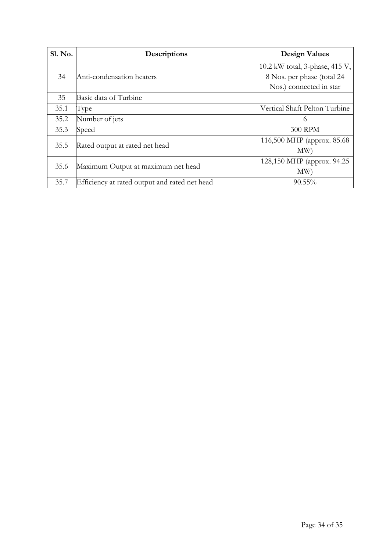| Sl. No. | Descriptions                                  | <b>Design Values</b>           |
|---------|-----------------------------------------------|--------------------------------|
|         |                                               | 10.2 kW total, 3-phase, 415 V, |
| 34      | Anti-condensation heaters                     | 8 Nos. per phase (total 24     |
|         |                                               | Nos.) connected in star        |
| 35      | Basic data of Turbine                         |                                |
| 35.1    | Type                                          | Vertical Shaft Pelton Turbine  |
| 35.2    | Number of jets                                | 6                              |
| 35.3    | Speed                                         | <b>300 RPM</b>                 |
| 35.5    |                                               | 116,500 MHP (approx. 85.68)    |
|         | Rated output at rated net head                | MW                             |
| 35.6    | Maximum Output at maximum net head            | 128,150 MHP (approx. 94.25)    |
|         |                                               | MW                             |
| 35.7    | Efficiency at rated output and rated net head | $90.55\%$                      |